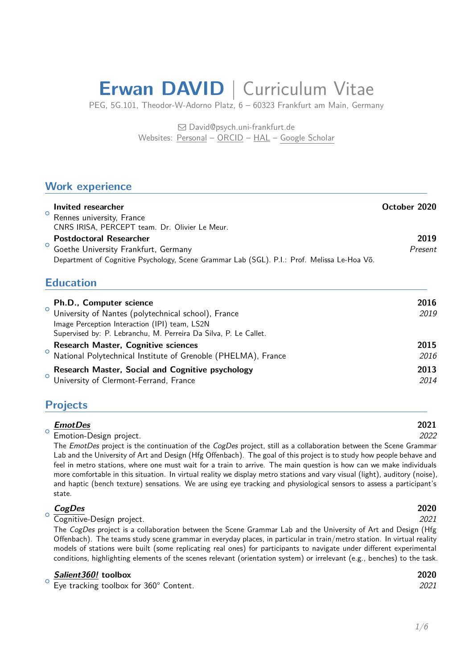# **Erwan DAVID** | Curriculum Vitae

PEG, 5G.101, Theodor-W-Adorno Platz, 6 – 60323 Frankfurt am Main, Germany

 David@psych.uni-frankfurt.de Websites: Personal – ORCID – HAL – Google Scholar

## **Work experience**

| Invited researcher<br>Rennes university, France<br>CNRS IRISA, PERCEPT team. Dr. Olivier Le Meur.                                                                     | October 2020    |
|-----------------------------------------------------------------------------------------------------------------------------------------------------------------------|-----------------|
| <b>Postdoctoral Researcher</b><br>Goethe University Frankfurt, Germany<br>Department of Cognitive Psychology, Scene Grammar Lab (SGL). P.I.: Prof. Melissa Le-Hoa Võ. | 2019<br>Present |

## **Education**

| $\circ$ | Ph.D., Computer science<br>University of Nantes (polytechnical school), France<br>Image Perception Interaction (IPI) team, LS2N<br>Supervised by: P. Lebranchu, M. Perreira Da Silva, P. Le Callet. | 2016<br>2019 |
|---------|-----------------------------------------------------------------------------------------------------------------------------------------------------------------------------------------------------|--------------|
|         | <b>Research Master, Cognitive sciences</b><br>National Polytechnical Institute of Grenoble (PHELMA), France                                                                                         | 2015<br>2016 |
| $\circ$ | <b>Research Master, Social and Cognitive psychology</b><br>University of Clermont-Ferrand, France                                                                                                   | 2013<br>2014 |

## **Projects**

○␣

○␣

#### *EmotDes* **2021** Emotion-Design project. *2022*

The *EmotDes* project is the continuation of the *CogDes* project, still as a collaboration between the Scene Grammar Lab and the University of Art and Design (Hfg Offenbach). The goal of this project is to study how people behave and [feel in metr](http://salient360.ls2n.fr)o stations, where one must wait for a train to arrive. The main question is how can we make individuals more comfortable in this situation. In virtual reality we display metro stations and vary visual (light), auditory (noise), and haptic (bench texture) sensations. We are using eye tracking and physiological sensors to assess a participant's state.

#### *CogDes* **2020**

Cognitive-Design project. *2021* The *CogDes* project is a collaboration between the Scene Grammar Lab and the University of Art and Design (Hfg Offenbach). The teams study scene grammar in everyday places, in particular in train/metro station. In virtual reality [models of](http://salient360.ls2n.fr) stations were built (some replicating real ones) for participants to navigate under different experimental conditions, highlighting elements of the scenes relevant (orientation system) or irrelevant (e.g., benches) to the task.

#### *Salient360!* **toolbox 2020**

○␣ Eye tracking toolbox for 360° Content. *2021*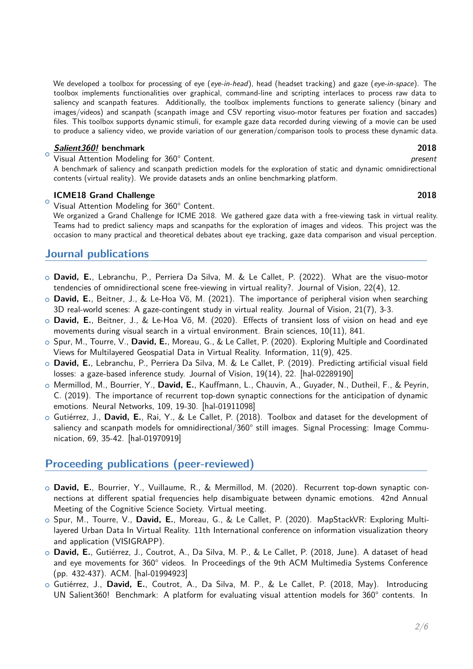We developed a toolbox for processing of eye (*eye-in-head*), head (headset tracking) and gaze (*eye-in-space*). The toolbox implements functionalities over graphical, command-line and scripting interlaces to process raw data to saliency and scanpath features. Additionally, the toolbox implements functions to generate saliency (binary and images/videos) and scanpath (scanpath image and CSV reporting visuo-motor features per fixation and saccades) files. This toolbox supports dynamic stimuli, for example gaze data recorded during viewing of a movie can be used to produce a saliency video, we provide variation of our generation/comparison tools to process these dynamic data.

#### ○␣ *Salient360!* **benchmark 2018**

Visual Attention Modeling for 360° Content. *present*

A benchmark of saliency and scanpath prediction models for the exploration of static and dynamic omnidirectional contents (virtual reality). We provide datasets ands an online benchmarking platform.

#### **[ICME18 Gr](http://salient360.ls2n.fr)and Challenge 2018**

○␣ Visual Attention Modeling for 360° Content.

We organized a Grand Challenge for ICME 2018. We gathered gaze data with a free-viewing task in virtual reality. Teams had to predict saliency maps and scanpaths for the exploration of images and videos. This project was the occasion to many practical and theoretical debates about eye tracking, gaze data comparison and visual perception.

## **Journal publications**

- ○␣ **David, E.**, Lebranchu, P., Perriera Da Silva, M. & Le Callet, P. (2022). What are the visuo-motor tendencies of omnidirectional scene free-viewing in virtual reality?. Journal of Vision, 22(4), 12.
- ○␣ **David, E.**, Beitner, J., & Le-Hoa Võ, M. (2021). The importance of peripheral vision when searching 3D real-world scenes: A gaze-contingent study in virtual reality. Journal of Vision, 21(7), 3-3.
- ○␣ **David, E.**, Beitner, J., & Le-Hoa Võ, M. (2020). Effects of transient loss of vision on head and eye movements during visual search in a virtual environment. Brain sciences, 10(11), 841.
- ○␣ Spur, M., Tourre, V., **David, E.**, Moreau, G., & Le Callet, P. (2020). Exploring Multiple and Coordinated Views for Multilayered Geospatial Data in Virtual Reality. Information, 11(9), 425.
- ○␣ **David, E.**, Lebranchu, P., Perriera Da Silva, M. & Le Callet, P. (2019). Predicting artificial visual field losses: a gaze-based inference study. Journal of Vision, 19(14), 22. [hal-02289190]
- ○␣ Mermillod, M., Bourrier, Y., **David, E.**, Kauffmann, L., Chauvin, A., Guyader, N., Dutheil, F., & Peyrin, C. (2019). The importance of recurrent top-down synaptic connections for the anticipation of dynamic emotions. Neural Networks, 109, 19-30. [hal-01911098]
- ○␣ Gutiérrez, J., **David, E.**, Rai, Y., & Le Callet, P. (2018). Toolbox [and dataset for](https://hal.archives-ouvertes.fr/hal-02289190) the development of saliency and scanpath models for omnidirectional/360° still images. Signal Processing: Image Communication, 69, 35-42. [hal-01970919]

## **Proceeding publications (peer-reviewed)**

- ○␣ **David, E.**, Bourrier[, Y., Vuillaume](https://hal.archives-ouvertes.fr/hal-01970919), R., & Mermillod, M. (2020). Recurrent top-down synaptic connections at different spatial frequencies help disambiguate between dynamic emotions. 42nd Annual Meeting of the Cognitive Science Society. Virtual meeting.
- ○␣ Spur, M., Tourre, V., **David, E.**, Moreau, G., & Le Callet, P. (2020). MapStackVR: Exploring Multilayered Urban Data In Virtual Reality. 11th International conference on information visualization theory and application (VISIGRAPP).
- ○␣ **David, E.**, Gutiérrez, J., Coutrot, A., Da Silva, M. P., & Le Callet, P. (2018, June). A dataset of head and eye movements for 360° videos. In Proceedings of the 9th ACM Multimedia Systems Conference (pp. 432-437). ACM. [hal-01994923]
- ○␣ Gutiérrez, J., **David, E.**, Coutrot, A., Da Silva, M. P., & Le Callet, P. (2018, May). Introducing UN Salient360! Benchmark: A platform for evaluating visual attention models for 360° contents. In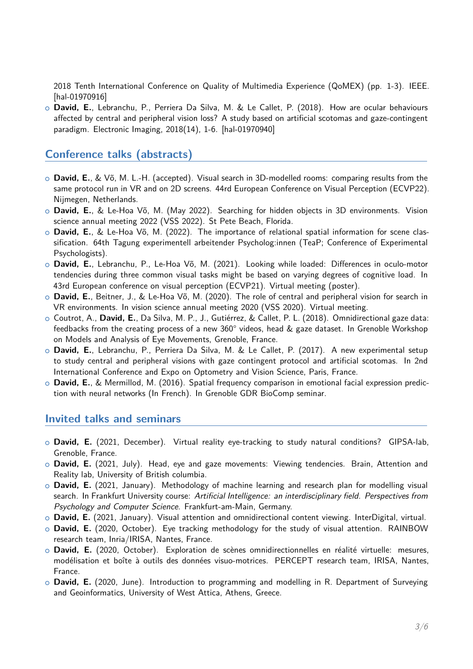2018 Tenth International Conference on Quality of Multimedia Experience (QoMEX) (pp. 1-3). IEEE. [hal-01970916]

○␣ **David, E.**, Lebranchu, P., Perriera Da Silva, M. & Le Callet, P. (2018). How are ocular behaviours affected by central and peripheral vision loss? A study based on artificial scotomas and gaze-contingent [paradigm. Elec](https://hal.archives-ouvertes.fr/hal-01970916)tronic Imaging, 2018(14), 1-6. [hal-01970940]

## **Conference talks (abstracts)**

- ○␣ **David, E.**, & Võ, M. L.-H. (accepted). Visual [search in 3D-m](https://hal.archives-ouvertes.fr/hal-01970940)odelled rooms: comparing results from the same protocol run in VR and on 2D screens. 44rd European Conference on Visual Perception (ECVP22). Nijmegen, Netherlands.
- ○␣ **David, E.**, & Le-Hoa Võ, M. (May 2022). Searching for hidden objects in 3D environments. Vision science annual meeting 2022 (VSS 2022). St Pete Beach, Florida.
- ○␣ **David, E.**, & Le-Hoa Võ, M. (2022). The importance of relational spatial information for scene classification. 64th Tagung experimentell arbeitender Psycholog:innen (TeaP; Conference of Experimental Psychologists).
- ○␣ **David, E.**, Lebranchu, P., Le-Hoa Võ, M. (2021). Looking while loaded: Differences in oculo-motor tendencies during three common visual tasks might be based on varying degrees of cognitive load. In 43rd European conference on visual perception (ECVP21). Virtual meeting (poster).
- ○␣ **David, E.**, Beitner, J., & Le-Hoa Võ, M. (2020). The role of central and peripheral vision for search in VR environments. In vision science annual meeting 2020 (VSS 2020). Virtual meeting.
- ○␣ Coutrot, A., **David, E.**, Da Silva, M. P., J., Gutiérrez, & Callet, P. L. (2018). Omnidirectional gaze data: feedbacks from the creating process of a new 360° videos, head & gaze dataset. In Grenoble Workshop on Models and Analysis of Eye Movements, Grenoble, France.
- ○␣ **David, E.**, Lebranchu, P., Perriera Da Silva, M. & Le Callet, P. (2017). A new experimental setup to study central and peripheral visions with gaze contingent protocol and artificial scotomas. In 2nd International Conference and Expo on Optometry and Vision Science, Paris, France.
- ○␣ **David, E.**, & Mermillod, M. (2016). Spatial frequency comparison in emotional facial expression prediction with neural networks (In French). In Grenoble GDR BioComp seminar.

## **Invited talks and seminars**

- ○␣ **David, E.** (2021, December). Virtual reality eye-tracking to study natural conditions? GIPSA-lab, Grenoble, France.
- ○␣ **David, E.** (2021, July). Head, eye and gaze movements: Viewing tendencies. Brain, Attention and Reality lab, University of British columbia.
- ○␣ **David, E.** (2021, January). Methodology of machine learning and research plan for modelling visual search. In Frankfurt University course: *Artificial Intelligence: an interdisciplinary field. Perspectives from Psychology and Computer Science*. Frankfurt-am-Main, Germany.
- ○␣ **David, E.** (2021, January). Visual attention and omnidirectional content viewing. InterDigital, virtual.
- ○␣ **David, E.** (2020, October). Eye tracking methodology for the study of visual attention. RAINBOW research team, Inria/IRISA, Nantes, France.
- ○␣ **David, E.** (2020, October). Exploration de scènes omnidirectionnelles en réalité virtuelle: mesures, modélisation et boîte à outils des données visuo-motrices. PERCEPT research t[eam, IRISA,](https://www.interdigital.com/) Nantes, France.
- ○␣ **David, E.** (2020, June). Introduction to programming and modelling in R. Department of Surveying and Geoinformatics, University of West Attica, Athens, Greece.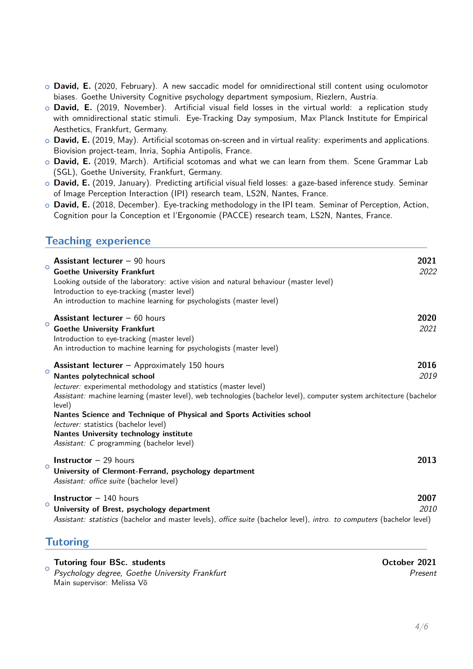- ○␣ **David, E.** (2020, February). A new saccadic model for omnidirectional still content using oculomotor biases. Goethe University Cognitive psychology department symposium, Riezlern, Austria.
- ○␣ **David, E.** (2019, November). Artificial visual field losses in the virtual world: a replication study with omnidirectional static stimuli. Eye-Tracking Day symposium, Max Planck Institute for Empirical Aesthetics, Frankfurt, Germany.
- ○␣ **David, E.** (2019, May). Artificial scotomas on-screen and in virtual reality: experiments and applications. Biovision project-team, Inria, Sophia Antipolis, France.
- ○␣ **David, E.** (2019, March). Artificial scotomas and what we can learn from them. Scene Grammar Lab (SGL), Goethe University, Frankfurt, Germany.
- ○␣ **David, E.** (2019, January). Predicting artificial visual field losses: a gaze-based inference study. Seminar of Image Perception Interaction (IPI) research team, LS2N, Nantes, France.
- ○␣ **David, E.** (2018, December). Eye-tracking methodology in the IPI team. Seminar of Perception, Action, Cognition pour la Conception et l'Ergonomie (PACCE) research team, LS2N, Nantes, France.

## **Teaching experience**

| $\circ$ | <b>Assistant lecturer - 90 hours</b><br><b>Goethe University Frankfurt</b><br>Looking outside of the laboratory: active vision and natural behaviour (master level)<br>Introduction to eye-tracking (master level)<br>An introduction to machine learning for psychologists (master level)                                                                                                                                                                                                                | 2021<br>2022 |
|---------|-----------------------------------------------------------------------------------------------------------------------------------------------------------------------------------------------------------------------------------------------------------------------------------------------------------------------------------------------------------------------------------------------------------------------------------------------------------------------------------------------------------|--------------|
| $\circ$ | <b>Assistant lecturer</b> $-60$ hours<br><b>Goethe University Frankfurt</b><br>Introduction to eye-tracking (master level)<br>An introduction to machine learning for psychologists (master level)                                                                                                                                                                                                                                                                                                        | 2020<br>2021 |
| $\circ$ | <b>Assistant lecturer</b> – Approximately 150 hours<br>Nantes polytechnical school<br>lecturer: experimental methodology and statistics (master level)<br>Assistant: machine learning (master level), web technologies (bachelor level), computer system architecture (bachelor<br>level)<br>Nantes Science and Technique of Physical and Sports Activities school<br>lecturer: statistics (bachelor level)<br><b>Nantes University technology institute</b><br>Assistant: C programming (bachelor level) | 2016<br>2019 |
| $\circ$ | <b>Instructor</b> $-$ 29 hours<br>University of Clermont-Ferrand, psychology department<br>Assistant: office suite (bachelor level)                                                                                                                                                                                                                                                                                                                                                                       | 2013         |
| $\circ$ | <b>Instructor</b> $-140$ hours<br>University of Brest, psychology department<br>Assistant: statistics (bachelor and master levels), office suite (bachelor level), intro. to computers (bachelor level)                                                                                                                                                                                                                                                                                                   | 2007<br>2010 |
|         |                                                                                                                                                                                                                                                                                                                                                                                                                                                                                                           |              |

## **Tutoring**

○␣ **Tutoring four BSc. students October 2021** *Psychology degree, Goethe University Frankfurt Present* Main supervisor: Melissa Võ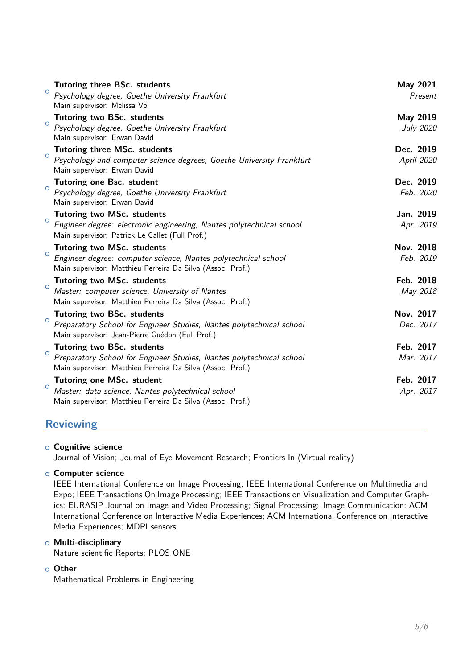| $\circ$ | <b>Tutoring three BSc. students</b><br>Psychology degree, Goethe University Frankfurt<br>Main supervisor: Melissa Võ                                                    | May 2021<br>Present     |
|---------|-------------------------------------------------------------------------------------------------------------------------------------------------------------------------|-------------------------|
| $\circ$ | <b>Tutoring two BSc. students</b><br>Psychology degree, Goethe University Frankfurt<br>Main supervisor: Erwan David                                                     | May 2019<br>July 2020   |
| $\circ$ | <b>Tutoring three MSc. students</b><br>Psychology and computer science degrees, Goethe University Frankfurt<br>Main supervisor: Erwan David                             | Dec. 2019<br>April 2020 |
| $\circ$ | <b>Tutoring one Bsc. student</b><br>Psychology degree, Goethe University Frankfurt<br>Main supervisor: Erwan David                                                      | Dec. 2019<br>Feb. 2020  |
| $\circ$ | <b>Tutoring two MSc. students</b><br>Engineer degree: electronic engineering, Nantes polytechnical school<br>Main supervisor: Patrick Le Callet (Full Prof.)            | Jan. 2019<br>Apr. 2019  |
| $\circ$ | <b>Tutoring two MSc. students</b><br>Engineer degree: computer science, Nantes polytechnical school<br>Main supervisor: Matthieu Perreira Da Silva (Assoc. Prof.)       | Nov. 2018<br>Feb. 2019  |
| $\circ$ | <b>Tutoring two MSc. students</b><br>Master: computer science, University of Nantes<br>Main supervisor: Matthieu Perreira Da Silva (Assoc. Prof.)                       | Feb. 2018<br>May 2018   |
| $\circ$ | <b>Tutoring two BSc. students</b><br>Preparatory School for Engineer Studies, Nantes polytechnical school<br>Main supervisor: Jean-Pierre Guédon (Full Prof.)           | Nov. 2017<br>Dec. 2017  |
| $\circ$ | <b>Tutoring two BSc. students</b><br>Preparatory School for Engineer Studies, Nantes polytechnical school<br>Main supervisor: Matthieu Perreira Da Silva (Assoc. Prof.) | Feb. 2017<br>Mar. 2017  |
| $\circ$ | <b>Tutoring one MSc. student</b><br>Master: data science, Nantes polytechnical school<br>Main supervisor: Matthieu Perreira Da Silva (Assoc. Prof.)                     | Feb. 2017<br>Apr. 2017  |

## **Reviewing**

#### ○␣ **Cognitive science**

Journal of Vision; Journal of Eye Movement Research; Frontiers In (Virtual reality)

#### ○␣ **Computer science**

IEEE International Conference on Image Processing; IEEE International Conference on Multimedia and Expo; IEEE Transactions On Image Processing; IEEE Transactions on Visualization and Computer Graphics; EURASIP Journal on Image and Video Processing; Signal Processing: Image Communication; ACM International Conference on Interactive Media Experiences; ACM International Conference on Interactive Media Experiences; MDPI sensors

#### ○␣ **Multi-disciplinary**

Nature scientific Reports; PLOS ONE

#### ○␣ **Other**

Mathematical Problems in Engineering